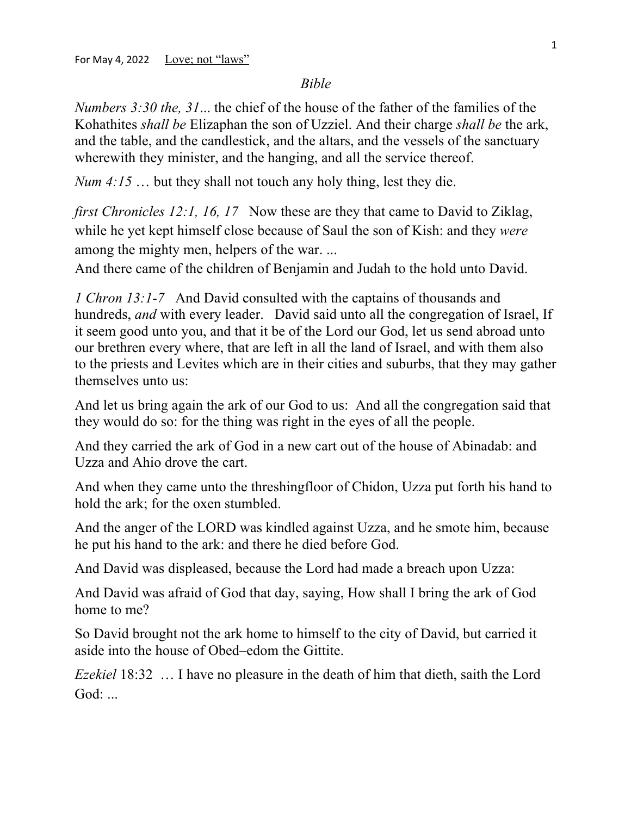## *Bible*

*Numbers 3:30 the, 31*... the chief of the house of the father of the families of the Kohathites *shall be* Elizaphan the son of Uzziel. And their charge *shall be* the ark, and the table, and the candlestick, and the altars, and the vessels of the sanctuary wherewith they minister, and the hanging, and all the service thereof.

*Num 4:15* ... but they shall not touch any holy thing, lest they die.

*first Chronicles 12:1, 16, 17* Now these are they that came to David to Ziklag, while he yet kept himself close because of Saul the son of Kish: and they *were* among the mighty men, helpers of the war. ...

And there came of the children of Benjamin and Judah to the hold unto David.

*1 Chron 13:1-7* And David consulted with the captains of thousands and hundreds, *and* with every leader. David said unto all the congregation of Israel, If it seem good unto you, and that it be of the Lord our God, let us send abroad unto our brethren every where, that are left in all the land of Israel, and with them also to the priests and Levites which are in their cities and suburbs, that they may gather themselves unto us:

And let us bring again the ark of our God to us: And all the congregation said that they would do so: for the thing was right in the eyes of all the people.

And they carried the ark of God in a new cart out of the house of Abinadab: and Uzza and Ahio drove the cart.

And when they came unto the threshingfloor of Chidon, Uzza put forth his hand to hold the ark; for the oxen stumbled.

And the anger of the LORD was kindled against Uzza, and he smote him, because he put his hand to the ark: and there he died before God.

And David was displeased, because the Lord had made a breach upon Uzza:

And David was afraid of God that day, saying, How shall I bring the ark of God home to me?

So David brought not the ark home to himself to the city of David, but carried it aside into the house of Obed–edom the Gittite.

*Ezekiel* 18:32 … I have no pleasure in the death of him that dieth, saith the Lord God: ...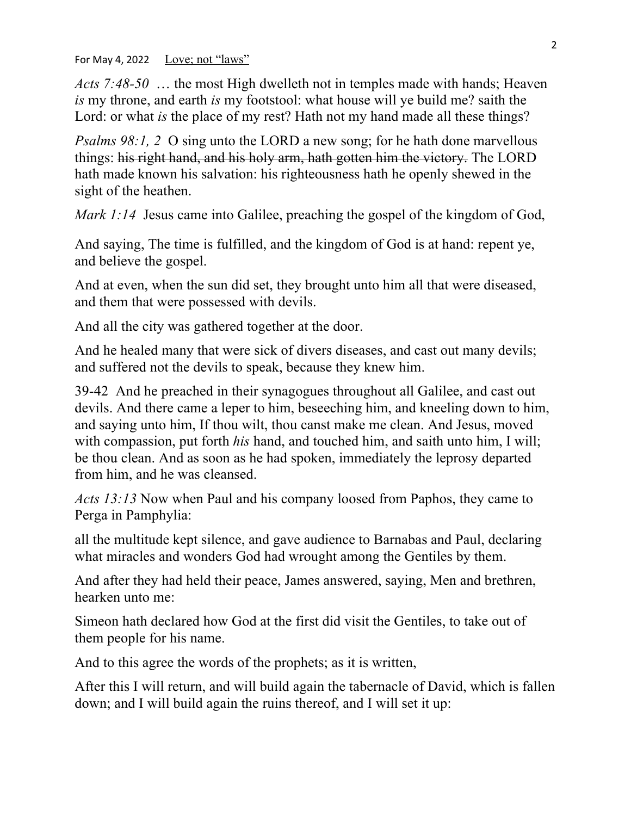For May 4, 2022 <u>Love; not "laws"</u>

*Acts 7:48-50* … the most High dwelleth not in temples made with hands; Heaven *is* my throne, and earth *is* my footstool: what house will ye build me? saith the Lord: or what *is* the place of my rest? Hath not my hand made all these things?

*Psalms 98:1, 2* O sing unto the LORD a new song; for he hath done marvellous things: his right hand, and his holy arm, hath gotten him the victory. The LORD hath made known his salvation: his righteousness hath he openly shewed in the sight of the heathen.

*Mark 1:14* Jesus came into Galilee, preaching the gospel of the kingdom of God,

And saying, The time is fulfilled, and the kingdom of God is at hand: repent ye, and believe the gospel.

And at even, when the sun did set, they brought unto him all that were diseased, and them that were possessed with devils.

And all the city was gathered together at the door.

And he healed many that were sick of divers diseases, and cast out many devils; and suffered not the devils to speak, because they knew him.

39-42 And he preached in their synagogues throughout all Galilee, and cast out devils. And there came a leper to him, beseeching him, and kneeling down to him, and saying unto him, If thou wilt, thou canst make me clean. And Jesus, moved with compassion, put forth *his* hand, and touched him, and saith unto him, I will; be thou clean. And as soon as he had spoken, immediately the leprosy departed from him, and he was cleansed.

*Acts 13:13* Now when Paul and his company loosed from Paphos, they came to Perga in Pamphylia:

all the multitude kept silence, and gave audience to Barnabas and Paul, declaring what miracles and wonders God had wrought among the Gentiles by them.

And after they had held their peace, James answered, saying, Men and brethren, hearken unto me:

Simeon hath declared how God at the first did visit the Gentiles, to take out of them people for his name.

And to this agree the words of the prophets; as it is written,

After this I will return, and will build again the tabernacle of David, which is fallen down; and I will build again the ruins thereof, and I will set it up: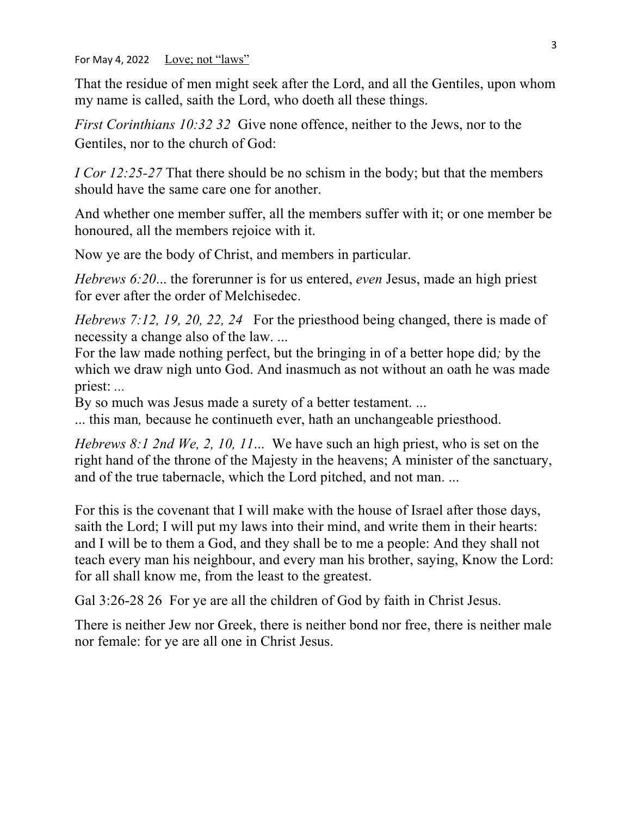For May 4, 2022 Love; not "laws"

That the residue of men might seek after the Lord, and all the Gentiles, upon whom my name is called, saith the Lord, who doeth all these things.

*First Corinthians 10:32 32* Give none offence, neither to the Jews, nor to the Gentiles, nor to the church of God:

*I Cor 12:25-27* That there should be no schism in the body; but that the members should have the same care one for another.

And whether one member suffer, all the members suffer with it; or one member be honoured, all the members rejoice with it.

Now ye are the body of Christ, and members in particular.

*Hebrews 6:20*... the forerunner is for us entered, *even* Jesus, made an high priest for ever after the order of Melchisedec.

*Hebrews 7:12, 19, 20, 22, 24* For the priesthood being changed, there is made of necessity a change also of the law. ...

For the law made nothing perfect, but the bringing in of a better hope did*;* by the which we draw nigh unto God. And inasmuch as not without an oath he was made priest: *...*

By so much was Jesus made a surety of a better testament. ...

... this man*,* because he continueth ever, hath an unchangeable priesthood.

*Hebrews 8:1 2nd We, 2, 10, 11*... We have such an high priest, who is set on the right hand of the throne of the Majesty in the heavens; A minister of the sanctuary, and of the true tabernacle, which the Lord pitched, and not man. ...

For this is the covenant that I will make with the house of Israel after those days, saith the Lord; I will put my laws into their mind, and write them in their hearts: and I will be to them a God, and they shall be to me a people: And they shall not teach every man his neighbour, and every man his brother, saying, Know the Lord: for all shall know me, from the least to the greatest.

Gal 3:26-28 26 For ye are all the children of God by faith in Christ Jesus.

There is neither Jew nor Greek, there is neither bond nor free, there is neither male nor female: for ye are all one in Christ Jesus.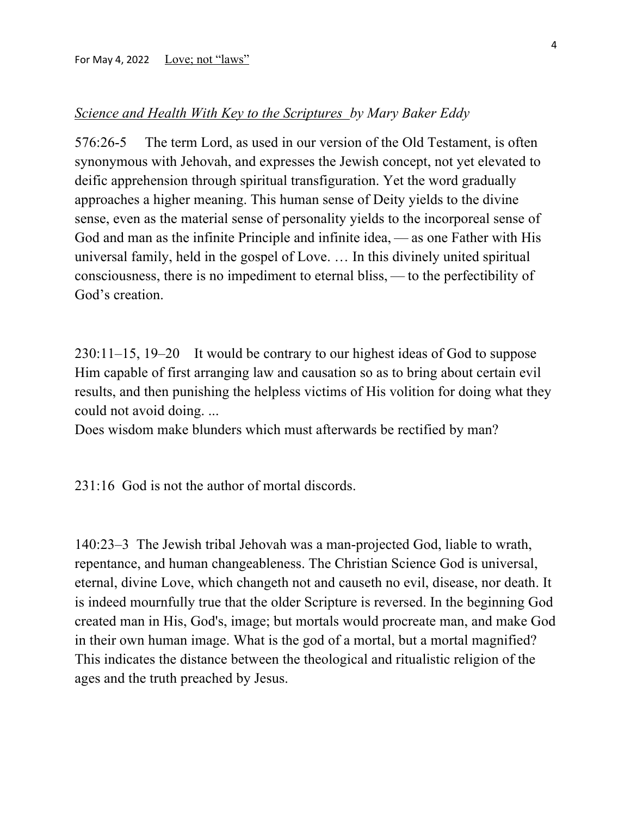## *Science and Health With Key to the Scriptures by Mary Baker Eddy*

576:26-5 The term Lord, as used in our version of the Old Testament, is often synonymous with Jehovah, and expresses the Jewish concept, not yet elevated to deific apprehension through spiritual transfiguration. Yet the word gradually approaches a higher meaning. This human sense of Deity yields to the divine sense, even as the material sense of personality yields to the incorporeal sense of God and man as the infinite Principle and infinite idea, — as one Father with His universal family, held in the gospel of Love. … In this divinely united spiritual consciousness, there is no impediment to eternal bliss, — to the perfectibility of God's creation.

230:11–15, 19–20 It would be contrary to our highest ideas of God to suppose Him capable of first arranging law and causation so as to bring about certain evil results, and then punishing the helpless victims of His volition for doing what they could not avoid doing. ...

Does wisdom make blunders which must afterwards be rectified by man?

231:16 God is not the author of mortal discords.

140:23–3 The Jewish tribal Jehovah was a man-projected God, liable to wrath, repentance, and human changeableness. The Christian Science God is universal, eternal, divine Love, which changeth not and causeth no evil, disease, nor death. It is indeed mournfully true that the older Scripture is reversed. In the beginning God created man in His, God's, image; but mortals would procreate man, and make God in their own human image. What is the god of a mortal, but a mortal magnified? This indicates the distance between the theological and ritualistic religion of the ages and the truth preached by Jesus.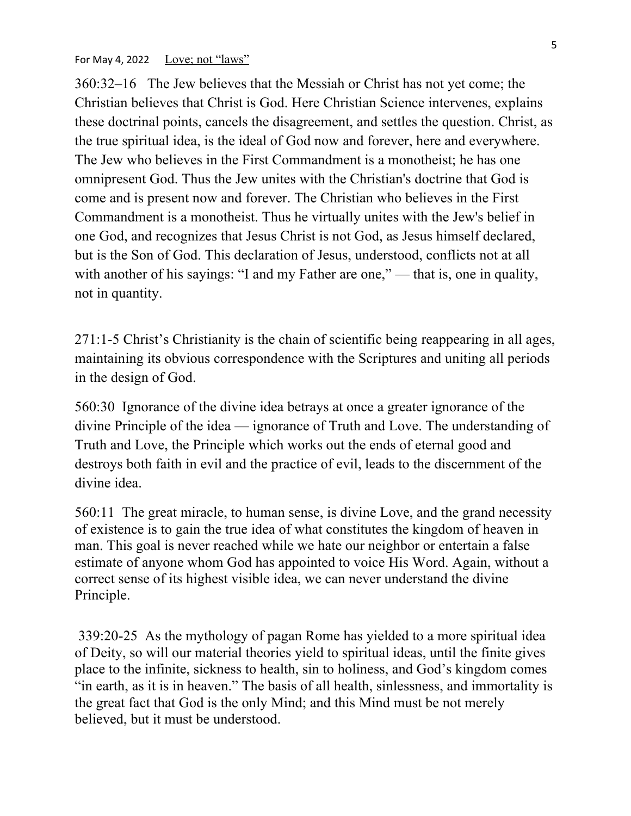For May 4, 2022 Love; not "laws"

360:32–16 The Jew believes that the Messiah or Christ has not yet come; the Christian believes that Christ is God. Here Christian Science intervenes, explains these doctrinal points, cancels the disagreement, and settles the question. Christ, as the true spiritual idea, is the ideal of God now and forever, here and everywhere. The Jew who believes in the First Commandment is a monotheist; he has one omnipresent God. Thus the Jew unites with the Christian's doctrine that God is come and is present now and forever. The Christian who believes in the First Commandment is a monotheist. Thus he virtually unites with the Jew's belief in one God, and recognizes that Jesus Christ is not God, as Jesus himself declared, but is the Son of God. This declaration of Jesus, understood, conflicts not at all with another of his sayings: "I and my Father are one," — that is, one in quality, not in quantity.

271:1-5 Christ's Christianity is the chain of scientific being reappearing in all ages, maintaining its obvious correspondence with the Scriptures and uniting all periods in the design of God.

560:30 Ignorance of the divine idea betrays at once a greater ignorance of the divine Principle of the idea — ignorance of Truth and Love. The understanding of Truth and Love, the Principle which works out the ends of eternal good and destroys both faith in evil and the practice of evil, leads to the discernment of the divine idea.

560:11 The great miracle, to human sense, is divine Love, and the grand necessity of existence is to gain the true idea of what constitutes the kingdom of heaven in man. This goal is never reached while we hate our neighbor or entertain a false estimate of anyone whom God has appointed to voice His Word. Again, without a correct sense of its highest visible idea, we can never understand the divine Principle.

339:20-25 As the mythology of pagan Rome has yielded to a more spiritual idea of Deity, so will our material theories yield to spiritual ideas, until the finite gives place to the infinite, sickness to health, sin to holiness, and God's kingdom comes "in earth, as it is in heaven." The basis of all health, sinlessness, and immortality is the great fact that God is the only Mind; and this Mind must be not merely believed, but it must be understood.